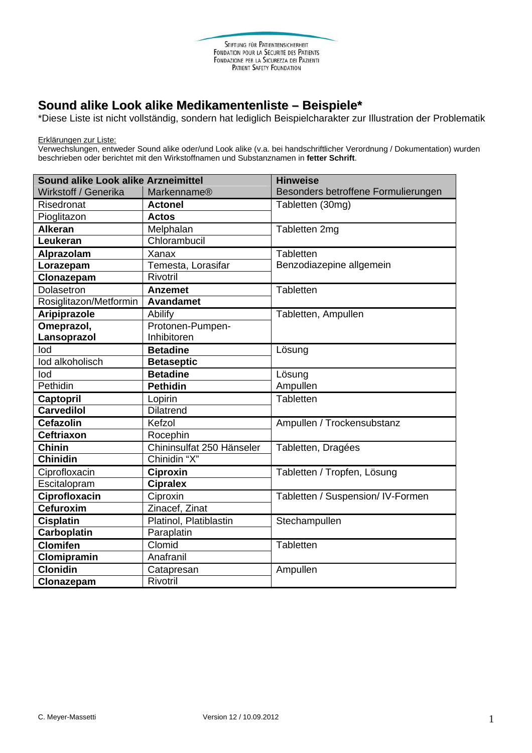## **Sound alike Look alike Medikamentenliste – Beispiele\***

\*Diese Liste ist nicht vollständig, sondern hat lediglich Beispielcharakter zur Illustration der Problematik

Erklärungen zur Liste:

Verwechslungen, entweder Sound alike oder/und Look alike (v.a. bei handschriftlicher Verordnung / Dokumentation) wurden beschrieben oder berichtet mit den Wirkstoffnamen und Substanznamen in **fetter Schrift**.

| Sound alike Look alike Arzneimittel |                           | <b>Hinweise</b>                     |
|-------------------------------------|---------------------------|-------------------------------------|
| Wirkstoff / Generika                | Markenname®               | Besonders betroffene Formulierungen |
| Risedronat                          | <b>Actonel</b>            | Tabletten (30mg)                    |
| Pioglitazon                         | <b>Actos</b>              |                                     |
| <b>Alkeran</b>                      | Melphalan                 | Tabletten 2mg                       |
| Leukeran                            | Chlorambucil              |                                     |
| Alprazolam                          | Xanax                     | Tabletten                           |
| Lorazepam                           | Temesta, Lorasifar        | Benzodiazepine allgemein            |
| Clonazepam                          | Rivotril                  |                                     |
| Dolasetron                          | <b>Anzemet</b>            | Tabletten                           |
| Rosiglitazon/Metformin              | <b>Avandamet</b>          |                                     |
| Aripiprazole                        | Abilify                   | Tabletten, Ampullen                 |
| Omeprazol,                          | Protonen-Pumpen-          |                                     |
| Lansoprazol                         | Inhibitoren               |                                     |
| lod                                 | <b>Betadine</b>           | Lösung                              |
| lod alkoholisch                     | <b>Betaseptic</b>         |                                     |
| lod                                 | <b>Betadine</b>           | Lösung                              |
| Pethidin                            | Pethidin                  | Ampullen                            |
| Captopril                           | Lopirin                   | Tabletten                           |
| <b>Carvedilol</b>                   | <b>Dilatrend</b>          |                                     |
| <b>Cefazolin</b>                    | Kefzol                    | Ampullen / Trockensubstanz          |
| <b>Ceftriaxon</b>                   | Rocephin                  |                                     |
| <b>Chinin</b>                       | Chininsulfat 250 Hänseler | Tabletten, Dragées                  |
| <b>Chinidin</b>                     | Chinidin "X"              |                                     |
| Ciprofloxacin                       | <b>Ciproxin</b>           | Tabletten / Tropfen, Lösung         |
| Escitalopram                        | <b>Cipralex</b>           |                                     |
| Ciprofloxacin                       | Ciproxin                  | Tabletten / Suspension/ IV-Formen   |
| <b>Cefuroxim</b>                    | Zinacef, Zinat            |                                     |
| <b>Cisplatin</b>                    | Platinol, Platiblastin    | Stechampullen                       |
| <b>Carboplatin</b>                  | Paraplatin                |                                     |
| <b>Clomifen</b>                     | Clomid                    | Tabletten                           |
| Clomipramin                         | Anafranil                 |                                     |
| <b>Clonidin</b>                     | Catapresan                | Ampullen                            |
| Clonazepam                          | Rivotril                  |                                     |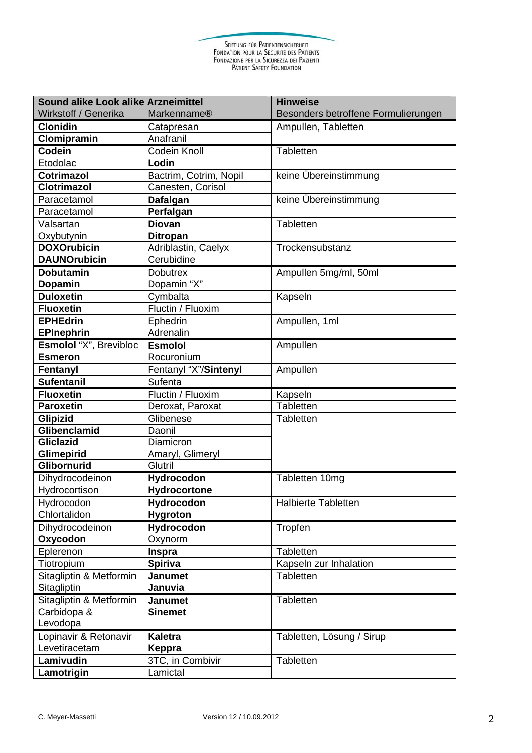STIFTUNG FÜR PATIENTENSICHERHEIT<br>FONDATION POUR LA SÉCURITÉ DES PATIENTS<br>FONDAZIONE PER LA SICUREZZA DEI PAZIENTI<br>PATIENT SAFETY FOUNDATION

| <b>Sound alike Look alike Arzneimittel</b> |                        | <b>Hinweise</b>                     |
|--------------------------------------------|------------------------|-------------------------------------|
| Wirkstoff / Generika                       | <b>Markenname®</b>     | Besonders betroffene Formulierungen |
| <b>Clonidin</b>                            | Catapresan             | Ampullen, Tabletten                 |
| Clomipramin                                | Anafranil              |                                     |
| Codein                                     | <b>Codein Knoll</b>    | Tabletten                           |
| Etodolac                                   | Lodin                  |                                     |
| <b>Cotrimazol</b>                          | Bactrim, Cotrim, Nopil | keine Übereinstimmung               |
| <b>Clotrimazol</b>                         | Canesten, Corisol      |                                     |
| Paracetamol                                | Dafalgan               | keine Übereinstimmung               |
| Paracetamol                                | Perfalgan              |                                     |
| Valsartan                                  | <b>Diovan</b>          | Tabletten                           |
| Oxybutynin                                 | <b>Ditropan</b>        |                                     |
| <b>DOXOrubicin</b>                         | Adriblastin, Caelyx    | Trockensubstanz                     |
| <b>DAUNOrubicin</b>                        | Cerubidine             |                                     |
| <b>Dobutamin</b>                           | <b>Dobutrex</b>        | Ampullen 5mg/ml, 50ml               |
| Dopamin                                    | Dopamin "X"            |                                     |
| <b>Duloxetin</b>                           | Cymbalta               | Kapseln                             |
| <b>Fluoxetin</b>                           | Fluctin / Fluoxim      |                                     |
| <b>EPHEdrin</b>                            | Ephedrin               | Ampullen, 1ml                       |
| <b>EPInephrin</b>                          | Adrenalin              |                                     |
| Esmolol "X", Brevibloc                     | <b>Esmolol</b>         | Ampullen                            |
| <b>Esmeron</b>                             | Rocuronium             |                                     |
| Fentanyl                                   | Fentanyl "X"/Sintenyl  | Ampullen                            |
| <b>Sufentanil</b>                          | Sufenta                |                                     |
| <b>Fluoxetin</b>                           | Fluctin / Fluoxim      | Kapseln                             |
| <b>Paroxetin</b>                           | Deroxat, Paroxat       | Tabletten                           |
| Glipizid                                   | Glibenese              | Tabletten                           |
| Glibenclamid                               | Daonil                 |                                     |
| <b>Gliclazid</b>                           | Diamicron              |                                     |
| Glimepirid                                 | Amaryl, Glimeryl       |                                     |
| Glibornurid                                | <b>Glutril</b>         |                                     |
| Dihydrocodeinon                            | Hydrocodon             | Tabletten 10mg                      |
| Hydrocortison                              | Hydrocortone           |                                     |
| Hydrocodon                                 | Hydrocodon             | <b>Halbierte Tabletten</b>          |
| Chlortalidon                               | <b>Hygroton</b>        |                                     |
| Dihydrocodeinon                            | <b>Hydrocodon</b>      | Tropfen                             |
| Oxycodon                                   | Oxynorm                |                                     |
| Eplerenon                                  | <b>Inspra</b>          | Tabletten                           |
| Tiotropium                                 | <b>Spiriva</b>         | Kapseln zur Inhalation              |
| Sitagliptin & Metformin                    | <b>Janumet</b>         | <b>Tabletten</b>                    |
| Sitagliptin                                | Januvia                |                                     |
| Sitagliptin & Metformin                    | <b>Janumet</b>         | Tabletten                           |
| Carbidopa &                                | <b>Sinemet</b>         |                                     |
| Levodopa                                   |                        |                                     |
| Lopinavir & Retonavir                      | <b>Kaletra</b>         | Tabletten, Lösung / Sirup           |
| Levetiracetam                              | Keppra                 |                                     |
| Lamivudin                                  | 3TC, in Combivir       | Tabletten                           |
| Lamotrigin                                 | Lamictal               |                                     |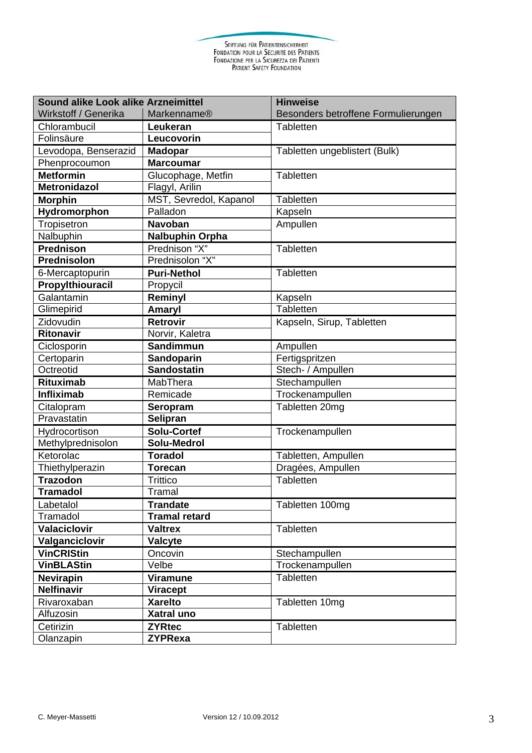STIFTUNG FÜR PATIENTENSICHERHEIT<br>FONDATION POUR LA SÉCURITÉ DES PATIENTS<br>FONDAZIONE PER LA SICUREZZA DEI PAZIENTI<br>PATIENT SAFETY FOUNDATION

| Sound alike Look alike Arzneimittel |                        | <b>Hinweise</b>                     |
|-------------------------------------|------------------------|-------------------------------------|
| Wirkstoff / Generika                | <b>Markenname®</b>     | Besonders betroffene Formulierungen |
| Chlorambucil                        | Leukeran               | <b>Tabletten</b>                    |
| Folinsäure                          | Leucovorin             |                                     |
| Levodopa, Benserazid                | <b>Madopar</b>         | Tabletten ungeblistert (Bulk)       |
| Phenprocoumon                       | <b>Marcoumar</b>       |                                     |
| <b>Metformin</b>                    | Glucophage, Metfin     | Tabletten                           |
| <b>Metronidazol</b>                 | Flagyl, Arilin         |                                     |
| <b>Morphin</b>                      | MST, Sevredol, Kapanol | <b>Tabletten</b>                    |
| Hydromorphon                        | Palladon               | Kapseln                             |
| Tropisetron                         | <b>Navoban</b>         | Ampullen                            |
| Nalbuphin                           | <b>Nalbuphin Orpha</b> |                                     |
| Prednison                           | Prednison "X"          | Tabletten                           |
| Prednisolon                         | Prednisolon "X"        |                                     |
| 6-Mercaptopurin                     | <b>Puri-Nethol</b>     | Tabletten                           |
| Propylthiouracil                    | Propycil               |                                     |
| Galantamin                          | Reminyl                | Kapseln                             |
| Glimepirid                          | Amaryl                 | Tabletten                           |
| Zidovudin                           | Retrovir               | Kapseln, Sirup, Tabletten           |
| <b>Ritonavir</b>                    | Norvir, Kaletra        |                                     |
| Ciclosporin                         | Sandimmun              | Ampullen                            |
| Certoparin                          | Sandoparin             | Fertigspritzen                      |
| Octreotid                           | <b>Sandostatin</b>     | Stech- / Ampullen                   |
| <b>Rituximab</b>                    | MabThera               | Stechampullen                       |
| <b>Infliximab</b>                   | Remicade               | Trockenampullen                     |
| Citalopram                          | Seropram               | Tabletten 20mg                      |
| Pravastatin                         | Selipran               |                                     |
| Hydrocortison                       | <b>Solu-Cortef</b>     | Trockenampullen                     |
| Methylprednisolon                   | Solu-Medrol            |                                     |
| Ketorolac                           | <b>Toradol</b>         | Tabletten, Ampullen                 |
| Thiethylperazin                     | <b>Torecan</b>         | Dragées, Ampullen                   |
| <b>Trazodon</b>                     | <b>Trittico</b>        | Tabletten                           |
| <b>Tramadol</b>                     | Tramal                 |                                     |
| Labetalol                           | <b>Trandate</b>        | Tabletten 100mg                     |
| Tramadol                            | <b>Tramal retard</b>   |                                     |
| <b>Valaciclovir</b>                 | <b>Valtrex</b>         | Tabletten                           |
| Valganciclovir                      | Valcyte                |                                     |
| <b>VinCRIStin</b>                   | Oncovin                | Stechampullen                       |
| <b>VinBLAStin</b>                   | Velbe                  | Trockenampullen                     |
| <b>Nevirapin</b>                    | <b>Viramune</b>        | Tabletten                           |
| Nelfinavir                          | <b>Viracept</b>        |                                     |
| Rivaroxaban                         | <b>Xarelto</b>         | Tabletten 10mg                      |
| Alfuzosin                           | Xatral uno             |                                     |
| Cetirizin                           | <b>ZYRtec</b>          | Tabletten                           |
| Olanzapin                           | <b>ZYPRexa</b>         |                                     |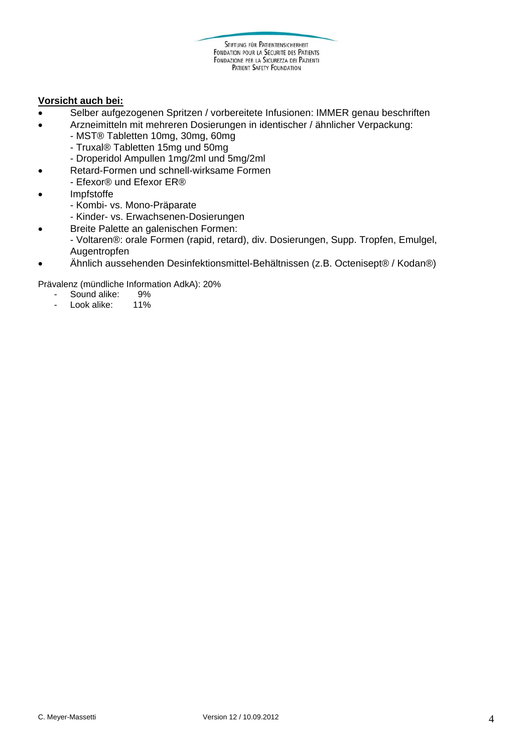## **Vorsicht auch bei:**

- Selber aufgezogenen Spritzen / vorbereitete Infusionen: IMMER genau beschriften
- Arzneimitteln mit mehreren Dosierungen in identischer / ähnlicher Verpackung:
	- MST® Tabletten 10mg, 30mg, 60mg
	- Truxal® Tabletten 15mg und 50mg
	- Droperidol Ampullen 1mg/2ml und 5mg/2ml
- Retard-Formen und schnell-wirksame Formen
- Efexor® und Efexor ER®
- Impfstoffe
	- Kombi- vs. Mono-Präparate
	- Kinder- vs. Erwachsenen-Dosierungen
	- Breite Palette an galenischen Formen:
	- Voltaren®: orale Formen (rapid, retard), div. Dosierungen, Supp. Tropfen, Emulgel, Augentropfen
- Ähnlich aussehenden Desinfektionsmittel-Behältnissen (z.B. Octenisept® / Kodan®)

Prävalenz (mündliche Information AdkA): 20%

- Sound alike: 9%<br>- Look alike: 11%
- Look alike: